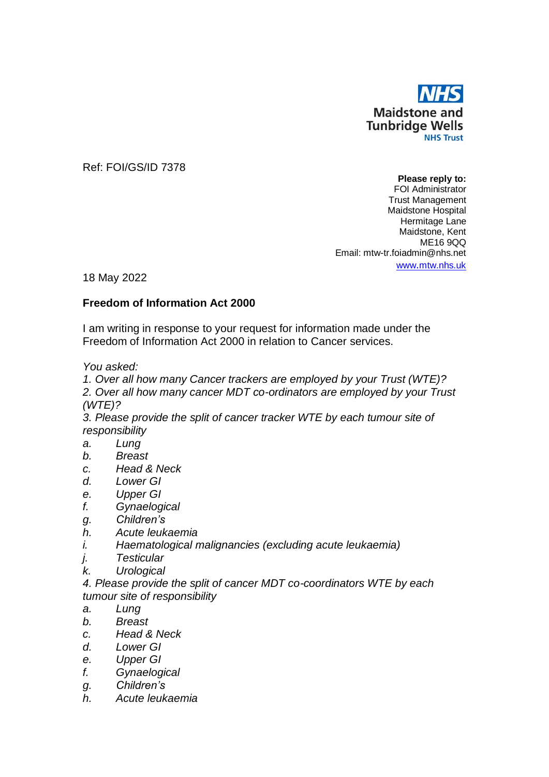

Ref: FOI/GS/ID 7378

**Please reply to:** FOI Administrator Trust Management Maidstone Hospital Hermitage Lane Maidstone, Kent ME16 9QQ Email: mtw-tr.foiadmin@nhs.net www.[mtw.nhs.uk](http://www.mtw.nhs.uk/)

18 May 2022

## **Freedom of Information Act 2000**

I am writing in response to your request for information made under the Freedom of Information Act 2000 in relation to Cancer services.

*You asked:*

*1. Over all how many Cancer trackers are employed by your Trust (WTE)? 2. Over all how many cancer MDT co-ordinators are employed by your Trust (WTE)?*

*3. Please provide the split of cancer tracker WTE by each tumour site of responsibility*

- *a. Lung*
- *b. Breast*
- *c. Head & Neck*
- *d. Lower GI*
- *e. Upper GI*
- *f. Gynaelogical*
- *g. Children's*
- *h. Acute leukaemia*
- *i. Haematological malignancies (excluding acute leukaemia)*
- *j. Testicular*
- *k. Urological*
- *4. Please provide the split of cancer MDT co-coordinators WTE by each tumour site of responsibility*
- *a. Lung*
- *b. Breast*
- *c. Head & Neck*
- *d. Lower GI*
- *e. Upper GI*
- *f. Gynaelogical*
- *g. Children's*
- *h. Acute leukaemia*